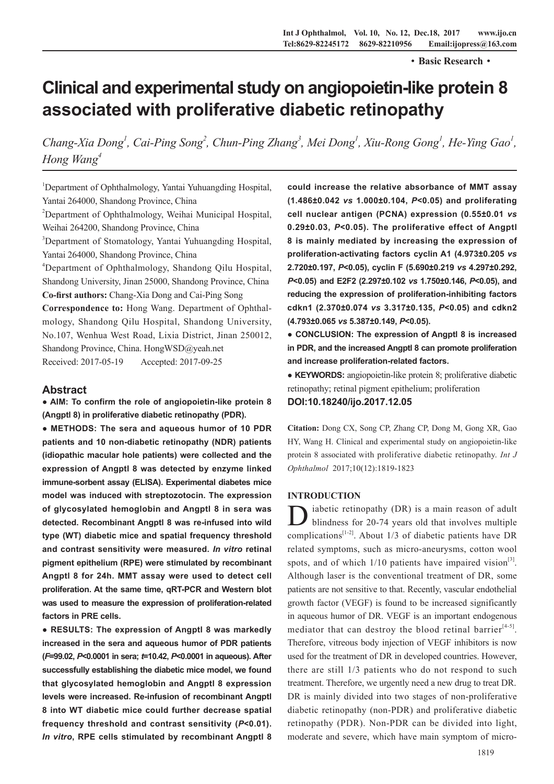·**Basic Research**·

# **Clinical and experimental study on angiopoietin-like protein 8 associated with proliferative diabetic retinopathy**

*Chang-Xia Dong<sup>1</sup>, Cai-Ping Song<sup>2</sup>, Chun-Ping Zhang<sup>3</sup>, Mei Dong<sup>1</sup>, Xiu-Rong Gong<sup>1</sup>, He-Ying Gao<sup>1</sup>, Hong Wang4*

<sup>1</sup>Department of Ophthalmology, Yantai Yuhuangding Hospital, Yantai 264000, Shandong Province, China

2 Department of Ophthalmology, Weihai Municipal Hospital, Weihai 264200, Shandong Province, China

<sup>3</sup>Department of Stomatology, Yantai Yuhuangding Hospital, Yantai 264000, Shandong Province, China

4 Department of Ophthalmology, Shandong Qilu Hospital, Shandong University, Jinan 25000, Shandong Province, China **Co-first authors:** Chang-Xia Dong and Cai-Ping Song

**Correspondence to:** Hong Wang. Department of Ophthalmology, Shandong Qilu Hospital, Shandong University, No.107, Wenhua West Road, Lixia District, Jinan 250012, Shandong Province, China. HongWSD@yeah.net Received: 2017-05-19 Accepted: 2017-09-25

# **Abstract**

**● AIM: To confirm the role of angiopoietin-like protein 8 (Angptl 8) in proliferative diabetic retinopathy (PDR).**

**● METHODS: The sera and aqueous humor of 10 PDR patients and 10 non-diabetic retinopathy (NDR) patients (idiopathic macular hole patients) were collected and the expression of Angptl 8 was detected by enzyme linked immune-sorbent assay (ELISA). Experimental diabetes mice model was induced with streptozotocin. The expression of glycosylated hemoglobin and Angptl 8 in sera was detected. Recombinant Angptl 8 was re-infused into wild type (WT) diabetic mice and spatial frequency threshold and contrast sensitivity were measured.** *In vitro* **retinal pigment epithelium (RPE) were stimulated by recombinant Angptl 8 for 24h. MMT assay were used to detect cell proliferation. At the same time, qRT-PCR and Western blot was used to measure the expression of proliferation-related factors in PRE cells.**

**● RESULTS: The expression of Angptl 8 was markedly increased in the sera and aqueous humor of PDR patients (***F***=99.02,** *P***<0.0001 in sera;** *t***=10.42,** *P***<0.0001 in aqueous). After successfully establishing the diabetic mice model, we found that glycosylated hemoglobin and Angptl 8 expression levels were increased. Re-infusion of recombinant Angptl 8 into WT diabetic mice could further decrease spatial frequency threshold and contrast sensitivity (***P***<0.01).**  *In vitro***, RPE cells stimulated by recombinant Angptl 8**  **could increase the relative absorbance of MMT assay (1.486±0.042** *vs* **1.000±0.104,** *P***<0.05) and proliferating cell nuclear antigen (PCNA) expression (0.55±0.01** *vs* **0.29±0.03,** *P***<0.05). The proliferative effect of Angptl 8 is mainly mediated by increasing the expression of proliferation-activating factors cyclin A1 (4.973±0.205** *vs*  **2.720±0.197,** *P***<0.05), cyclin F (5.690±0.219** *vs* **4.297±0.292,**  *P***<0.05) and E2F2 (2.297±0.102** *vs* **1.750±0.146,** *P***<0.05), and reducing the expression of proliferation-inhibiting factors cdkn1 (2.370±0.074** *vs* **3.317±0.135,** *P***<0.05) and cdkn2 (4.793±0.065** *vs* **5.387±0.149,** *P***<0.05).** 

**● CONCLUSION: The expression of Angptl 8 is increased in PDR, and the increased Angptl 8 can promote proliferation and increase proliferation-related factors.** 

**● KEYWORDS:** angiopoietin-like protein 8; proliferative diabetic retinopathy; retinal pigment epithelium; proliferation

**DOI:10.18240/ijo.2017.12.05**

**Citation:** Dong CX, Song CP, Zhang CP, Dong M, Gong XR, Gao HY, Wang H. Clinical and experimental study on angiopoietin-like protein 8 associated with proliferative diabetic retinopathy. *Int J Ophthalmol* 2017;10(12):1819-1823

## **INTRODUCTION**

D iabetic retinopathy (DR) is a main reason of adult blindness for 20-74 years old that involves multiple complications<sup>[1-2]</sup>. About 1/3 of diabetic patients have DR related symptoms, such as micro-aneurysms, cotton wool spots, and of which  $1/10$  patients have impaired vision<sup>[3]</sup>. Although laser is the conventional treatment of DR, some patients are not sensitive to that. Recently, vascular endothelial growth factor (VEGF) is found to be increased significantly in aqueous humor of DR. VEGF is an important endogenous mediator that can destroy the blood retinal barrier<sup> $[4-5]$ </sup>. Therefore, vitreous body injection of VEGF inhibitors is now used for the treatment of DR in developed countries. However, there are still 1/3 patients who do not respond to such treatment. Therefore, we urgently need a new drug to treat DR. DR is mainly divided into two stages of non-proliferative diabetic retinopathy (non-PDR) and proliferative diabetic retinopathy (PDR). Non-PDR can be divided into light, moderate and severe, which have main symptom of micro-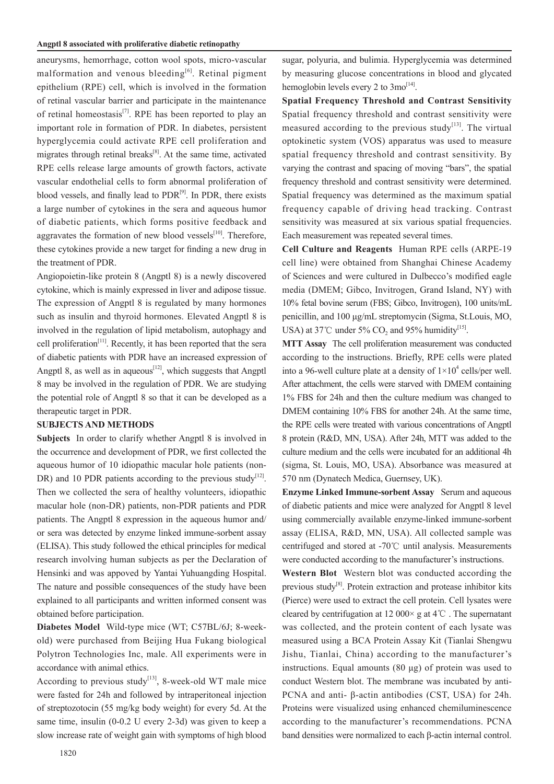#### **Angptl 8 associated with proliferative diabetic retinopathy**

aneurysms, hemorrhage, cotton wool spots, micro-vascular malformation and venous bleeding<sup>[6]</sup>. Retinal pigment epithelium (RPE) cell, which is involved in the formation of retinal vascular barrier and participate in the maintenance of retinal homeostasis<sup>[7]</sup>. RPE has been reported to play an important role in formation of PDR. In diabetes, persistent hyperglycemia could activate RPE cell proliferation and migrates through retinal breaks $[8]$ . At the same time, activated RPE cells release large amounts of growth factors, activate vascular endothelial cells to form abnormal proliferation of blood vessels, and finally lead to  $PDR^{[9]}$ . In PDR, there exists a large number of cytokines in the sera and aqueous humor of diabetic patients, which forms positive feedback and aggravates the formation of new blood vessels $[10]$ . Therefore, these cytokines provide a new target for finding a new drug in the treatment of PDR.

Angiopoietin-like protein 8 (Angptl 8) is a newly discovered cytokine, which is mainly expressed in liver and adipose tissue. The expression of Angptl 8 is regulated by many hormones such as insulin and thyroid hormones. Elevated Angptl 8 is involved in the regulation of lipid metabolism, autophagy and cell proliferation<sup>[11]</sup>. Recently, it has been reported that the sera of diabetic patients with PDR have an increased expression of Angptl 8, as well as in aqueous $^{[12]}$ , which suggests that Angptl 8 may be involved in the regulation of PDR. We are studying the potential role of Angptl 8 so that it can be developed as a therapeutic target in PDR.

## **SUBJECTS AND METHODS**

**Subjects** In order to clarify whether Angptl 8 is involved in the occurrence and development of PDR, we first collected the aqueous humor of 10 idiopathic macular hole patients (non-DR) and 10 PDR patients according to the previous study<sup>[12]</sup>. Then we collected the sera of healthy volunteers, idiopathic macular hole (non-DR) patients, non-PDR patients and PDR patients. The Angptl 8 expression in the aqueous humor and/ or sera was detected by enzyme linked immune-sorbent assay (ELISA). This study followed the ethical principles for medical research involving human subjects as per the Declaration of Hensinki and was appoved by Yantai Yuhuangding Hospital. The nature and possible consequences of the study have been explained to all participants and written informed consent was obtained before participation.

**Diabetes Model** Wild-type mice (WT; C57BL/6J; 8-weekold) were purchased from Beijing Hua Fukang biological Polytron Technologies Inc, male. All experiments were in accordance with animal ethics.

According to previous study<sup>[13]</sup>, 8-week-old WT male mice were fasted for 24h and followed by intraperitoneal injection of streptozotocin (55 mg/kg body weight) for every 5d. At the same time, insulin (0-0.2 U every 2-3d) was given to keep a slow increase rate of weight gain with symptoms of high blood

sugar, polyuria, and bulimia. Hyperglycemia was determined by measuring glucose concentrations in blood and glycated hemoglobin levels every 2 to  $3\text{mo}^{[14]}$ .

**Spatial Frequency Threshold and Contrast Sensitivity**  Spatial frequency threshold and contrast sensitivity were measured according to the previous study<sup>[13]</sup>. The virtual optokinetic system (VOS) apparatus was used to measure spatial frequency threshold and contrast sensitivity. By varying the contrast and spacing of moving "bars", the spatial frequency threshold and contrast sensitivity were determined. Spatial frequency was determined as the maximum spatial frequency capable of driving head tracking. Contrast sensitivity was measured at six various spatial frequencies. Each measurement was repeated several times.

**Cell Culture and Reagents** Human RPE cells (ARPE-19 cell line) were obtained from Shanghai Chinese Academy of Sciences and were cultured in Dulbecco's modified eagle media (DMEM; Gibco, Invitrogen, Grand Island, NY) with 10% fetal bovine serum (FBS; Gibco, Invitrogen), 100 units/mL penicillin, and 100 μg/mL streptomycin (Sigma, St.Louis, MO, USA) at 37°C under 5% CO<sub>2</sub> and 95% humidity<sup>[15]</sup>.

**MTT Assay** The cell proliferation measurement was conducted according to the instructions. Briefly, RPE cells were plated into a 96-well culture plate at a density of  $1 \times 10^4$  cells/per well. After attachment, the cells were starved with DMEM containing 1% FBS for 24h and then the culture medium was changed to DMEM containing 10% FBS for another 24h. At the same time, the RPE cells were treated with various concentrations of Angptl 8 protein (R&D, MN, USA). After 24h, MTT was added to the culture medium and the cells were incubated for an additional 4h (sigma, St. Louis, MO, USA). Absorbance was measured at 570 nm (Dynatech Medica, Guernsey, UK).

**Enzyme Linked Immune-sorbent Assay** Serum and aqueous of diabetic patients and mice were analyzed for Angptl 8 level using commercially available enzyme-linked immune-sorbent assay (ELISA, R&D, MN, USA). All collected sample was centrifuged and stored at -70℃ until analysis. Measurements were conducted according to the manufacturer's instructions.

**Western Blot** Western blot was conducted according the previous study<sup>[8]</sup>. Protein extraction and protease inhibitor kits (Pierce) were used to extract the cell protein. Cell lysates were cleared by centrifugation at 12 000 $\times$  g at 4°C. The supernatant was collected, and the protein content of each lysate was measured using a BCA Protein Assay Kit (Tianlai Shengwu Jishu, Tianlai, China) according to the manufacturer's instructions. Equal amounts (80 μg) of protein was used to conduct Western blot. The membrane was incubated by anti-PCNA and anti- β-actin antibodies (CST, USA) for 24h. Proteins were visualized using enhanced chemiluminescence according to the manufacturer's recommendations. PCNA band densities were normalized to each β-actin internal control.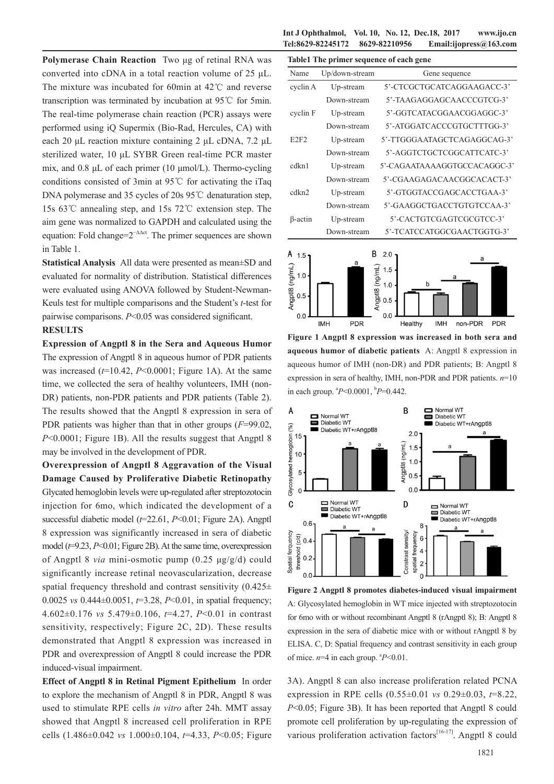**Polymerase Chain Reaction** Two μg of retinal RNA was converted into cDNA in a total reaction volume of 25 μL. The mixture was incubated for 60min at 42℃ and reverse transcription was terminated by incubation at 95℃ for 5min. The real-time polymerase chain reaction (PCR) assays were performed using iQ Supermix (Bio-Rad, Hercules, CA) with each 20 μL reaction mixture containing 2 μL cDNA, 7.2 μL sterilized water, 10 μL SYBR Green real-time PCR master mix, and 0.8 μL of each primer (10 μmol/L). Thermo-cycling conditions consisted of 3min at 95℃ for activating the iTaq DNA polymerase and 35 cycles of 20s 95℃ denaturation step, 15s 63℃ annealing step, and 15s 72℃ extension step. The aim gene was normalized to GAPDH and calculated using the equation: Fold change= $2^{-\Delta\Delta ct}$ . The primer sequences are shown in Table 1.

**Statistical Analysis** All data were presented as mean±SD and evaluated for normality of distribution. Statistical differences were evaluated using ANOVA followed by Student-Newman-Keuls test for multiple comparisons and the Student's *t*-test for pairwise comparisons. *P*<0.05 was considered significant.

# **RESULTS**

**Expression of Angptl 8 in the Sera and Aqueous Humor**  The expression of Angptl 8 in aqueous humor of PDR patients was increased  $(t=10.42, P<0.0001;$  Figure 1A). At the same time, we collected the sera of healthy volunteers, IMH (non-DR) patients, non-PDR patients and PDR patients (Table 2). The results showed that the Angptl 8 expression in sera of PDR patients was higher than that in other groups (*F*=99.02, *P*<0.0001; Figure 1B). All the results suggest that Angptl 8 may be involved in the development of PDR.

**Overexpression of Angptl 8 Aggravation of the Visual Damage Caused by Proliferative Diabetic Retinopathy**  Glycated hemoglobin levels were up-regulated after streptozotocin injection for 6mo, which indicated the development of a successful diabetic model (*t*=22.61, *P*<0.01; Figure 2A). Angptl 8 expression was significantly increased in sera of diabetic model (*t*=9.23, *P*<0.01; Figure 2B). At the same time, overexpression of Angptl 8 *via* mini-osmotic pump (0.25 μg/g/d) could significantly increase retinal neovascularization, decrease spatial frequency threshold and contrast sensitivity  $(0.425 \pm$ 0.0025 *vs* 0.444±0.0051, *t*=3.28, *P*<0.01, in spatial frequency; 4.602±0.176 *vs* 5.479±0.106, *t*=4.27, *P*<0.01 in contrast sensitivity, respectively; Figure 2C, 2D). These results demonstrated that Angptl 8 expression was increased in PDR and overexpression of Angptl 8 could increase the PDR induced-visual impairment.

**Effect of Angptl 8 in Retinal Pigment Epithelium** In order to explore the mechanism of Angptl 8 in PDR, Angptl 8 was used to stimulate RPE cells *in vitro* after 24h. MMT assay showed that Angptl 8 increased cell proliferation in RPE cells (1.486±0.042 *vs* 1.000±0.104, *t*=4.33, *P*<0.05; Figure

**Int J Ophthalmol, Vol. 10, No. 12, Dec.18, 2017 www.ijo.cn Tel:8629-82245172 8629-82210956 Email:ijopress@163.com**

| Table1 The primer sequence of each gene |                |                              |  |  |  |  |
|-----------------------------------------|----------------|------------------------------|--|--|--|--|
| Name                                    | Up/down-stream | Gene sequence                |  |  |  |  |
| cyclin A                                | Up-stream      | 5'-CTCGCTGCATCAGGAAGACC-3'   |  |  |  |  |
|                                         | Down-stream    | 5'-TAAGAGGAGCAACCCGTCG-3'    |  |  |  |  |
| cyclin F                                | Up-stream      | 5'-GGTCATACGGAACGGAGGC-3'    |  |  |  |  |
|                                         | Down-stream    | 5'-ATGGATCACCCGTGCTTTGG-3'   |  |  |  |  |
| E2F2                                    | Up-stream      | 5'-TTGGGAATAGCTCAGAGGCAG-3'  |  |  |  |  |
|                                         | Down-stream    | 5'-AGGTCTGCTCGGCATTCATC-3'   |  |  |  |  |
| cdkn1                                   | Up-stream      | 5'-CAGAATAAAAGGTGCCACAGGC-3' |  |  |  |  |
|                                         | Down-stream    | 5'-CGAAGAGACAACGGCACACT-3'   |  |  |  |  |
| cdkn <sub>2</sub>                       | Up-stream      | 5'-GTGGTACCGAGCACCTGAA-3'    |  |  |  |  |
|                                         | Down-stream    | 5'-GAAGGCTGACCTGTGTCCAA-3'   |  |  |  |  |
| β-actin                                 | Up-stream      | 5'-CACTGTCGAGTCGCGTCC-3'     |  |  |  |  |
|                                         | Down-stream    | 5'-TCATCCATGGCGAACTGGTG-3'   |  |  |  |  |



**Figure 1 Angptl 8 expression was increased in both sera and aqueous humor of diabetic patients** A: Angptl 8 expression in aqueous humor of IMH (non-DR) and PDR patients; B: Angptl 8 expression in sera of healthy, IMH, non-PDR and PDR patients. *n*=10 in each group. a *P*<0.0001, b *P*=0.442.



**Figure 2 Angptl 8 promotes diabetes-induced visual impairment**  A: Glycosylated hemoglobin in WT mice injected with streptozotocin for 6mo with or without recombinant Angptl 8 (rAngptl 8); B: Angptl 8 expression in the sera of diabetic mice with or without rAngptl 8 by ELISA. C, D: Spatial frequency and contrast sensitivity in each group of mice.  $n=4$  in each group.  $P<0.01$ .

3A). Angptl 8 can also increase proliferation related PCNA expression in RPE cells (0.55±0.01 *vs* 0.29±0.03, *t*=8.22, *P*<0.05; Figure 3B). It has been reported that Angptl 8 could promote cell proliferation by up-regulating the expression of various proliferation activation factors $[16-17]$ . Angptl 8 could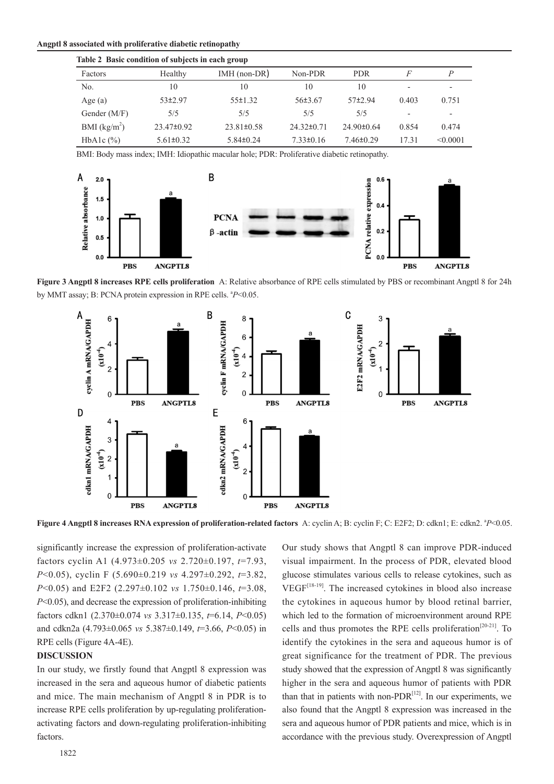| Angptl 8 associated with proliferative diabetic retinopathy |  |
|-------------------------------------------------------------|--|
|-------------------------------------------------------------|--|

| Table 2 Basic condition of subjects in each group |                 |                  |                  |                |                          |                          |  |  |  |
|---------------------------------------------------|-----------------|------------------|------------------|----------------|--------------------------|--------------------------|--|--|--|
| Factors                                           | Healthy         | $IMH$ (non-DR)   | Non-PDR          | <b>PDR</b>     | F                        | P                        |  |  |  |
| No.                                               | 10              | 10               | 10               | 10             | $\overline{\phantom{0}}$ | $\,$                     |  |  |  |
| Age $(a)$                                         | $53+2.97$       | $55 \pm 1.32$    | $56\pm3.67$      | $57+2.94$      | 0.403                    | 0.751                    |  |  |  |
| Gender (M/F)                                      | 5/5             | 5/5              | 5/5              | 5/5            | $\overline{\phantom{0}}$ | $\overline{\phantom{0}}$ |  |  |  |
| BMI $(kg/m2)$                                     | $23.47\pm0.92$  | $23.81 \pm 0.58$ | $24.32 \pm 0.71$ | $24.90\pm0.64$ | 0.854                    | 0.474                    |  |  |  |
| HbA <sub>1</sub> c $(\%)$                         | $5.61 \pm 0.32$ | $5.84 \pm 0.24$  | $7.33 \pm 0.16$  | $7.46\pm0.29$  | 17.31                    | < 0.0001                 |  |  |  |

BMI: Body mass index; IMH: Idiopathic macular hole; PDR: Proliferative diabetic retinopathy.



**Figure 3 Angptl 8 increases RPE cells proliferation** A: Relative absorbance of RPE cells stimulated by PBS or recombinant Angptl 8 for 24h by MMT assay; B: PCNA protein expression in RPE cells. <sup>a</sup>P<0.05.



Figure 4 Angptl 8 increases RNA expression of proliferation-related factors A: cyclin A; B: cyclin F; C: E2F2; D: cdkn1; E: cdkn2. <sup>a</sup>P<0.05.

significantly increase the expression of proliferation-activate factors cyclin A1 (4.973±0.205 *vs* 2.720±0.197, *t*=7.93, *P*<0.05), cyclin F (5.690±0.219 *vs* 4.297±0.292, *t*=3.82, *P*<0.05) and E2F2 (2.297±0.102 *vs* 1.750±0.146, *t*=3.08, *P*<0.05), and decrease the expression of proliferation-inhibiting factors cdkn1 (2.370±0.074 *vs* 3.317±0.135, *t*=6.14, *P*<0.05) and cdkn2a (4.793±0.065 *vs* 5.387±0.149, *t*=3.66, *P*<0.05) in RPE cells (Figure 4A-4E).

## **DISCUSSION**

In our study, we firstly found that Angptl 8 expression was increased in the sera and aqueous humor of diabetic patients and mice. The main mechanism of Angptl 8 in PDR is to increase RPE cells proliferation by up-regulating proliferationactivating factors and down-regulating proliferation-inhibiting factors.

Our study shows that Angptl 8 can improve PDR-induced visual impairment. In the process of PDR, elevated blood glucose stimulates various cells to release cytokines, such as VEGF[18-19]. The increased cytokines in blood also increase the cytokines in aqueous humor by blood retinal barrier, which led to the formation of microenvironment around RPE cells and thus promotes the RPE cells proliferation<sup>[20-21]</sup>. To identify the cytokines in the sera and aqueous humor is of great significance for the treatment of PDR. The previous study showed that the expression of Angptl 8 was significantly higher in the sera and aqueous humor of patients with PDR than that in patients with non- $PDR^{[12]}$ . In our experiments, we also found that the Angptl 8 expression was increased in the sera and aqueous humor of PDR patients and mice, which is in accordance with the previous study. Overexpression of Angptl